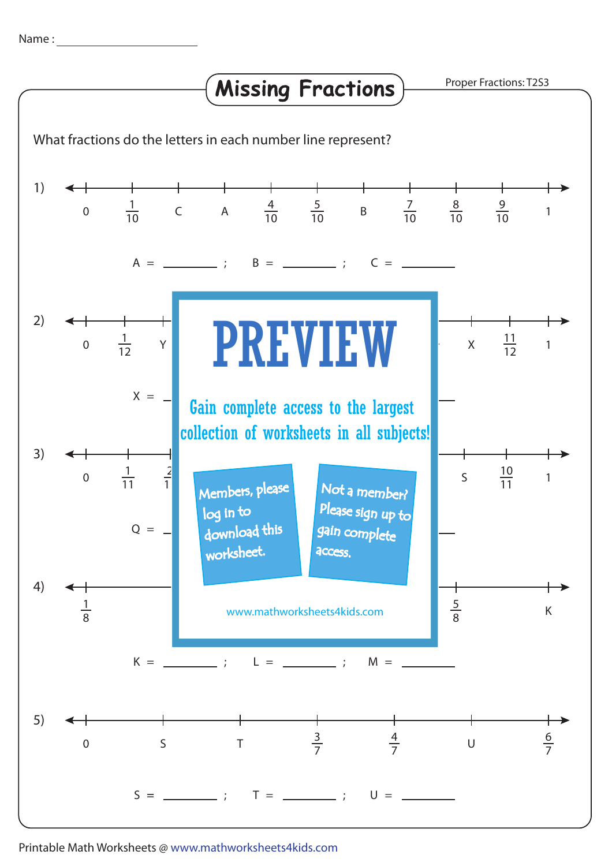